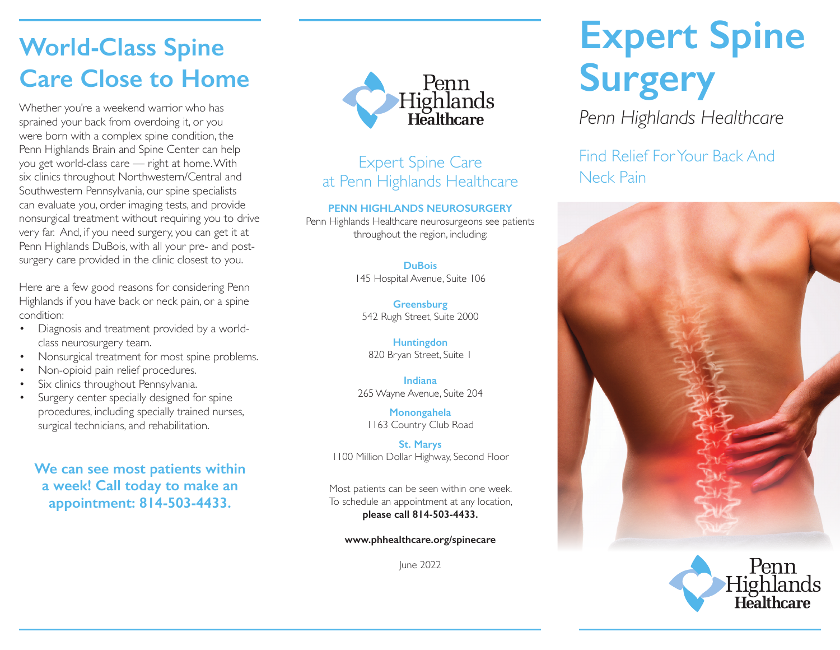# **World-Class Spine Care Close to Home**

sprained your back from overdoing it, or you were born with a complex spine condition, the Penn Highlands Brain and Spine Center can help you get world-class care — right at home. With six clinics throughout Northwestern/Central and Southwestern Pennsylvania, our spine specialists can evaluate you, order imaging tests, and provide nonsurgical treatment without requiring you to drive very far. And, if you need surgery, you can get it at Penn Highlands DuBois, with all your pre- and postsurgery care provided in the clinic closest to you.

Here are a few good reasons for considering Penn Highlands if you have back or neck pain, or a spine condition:

- Diagnosis and treatment provided by a worldclass neurosurgery team.
- Nonsurgical treatment for most spine problems.
- Non-opioid pain relief procedures.
- Six clinics throughout Pennsylvania.
- Surgery center specially designed for spine procedures, including specially trained nurses, surgical technicians, and rehabilitation.

**We can see most patients within a week! Call today to make an appointment: 814-503-4433.**



# Expert Spine Care at Penn Highlands Healthcare

#### **PENN HIGHLANDS NEUROSURGERY**

Penn Highlands Healthcare neurosurgeons see patients throughout the region, including:

### **DuBois**

145 Hospital Avenue, Suite 106

**Greensburg** 542 Rugh Street, Suite 2000

**Huntingdon** 820 Bryan Street, Suite 1

**Indiana** 265 Wayne Avenue, Suite 204

**Monongahela** 1163 Country Club Road

**St. Marys** 1100 Million Dollar Highway, Second Floor

Most patients can be seen within one week. To schedule an appointment at any location, **please call 814-503-4433.**

**www.phhealthcare.org/spinecare**

June 2022

# **Expert Spine Surgery**

Find Relief For Your Back And Neck Pain